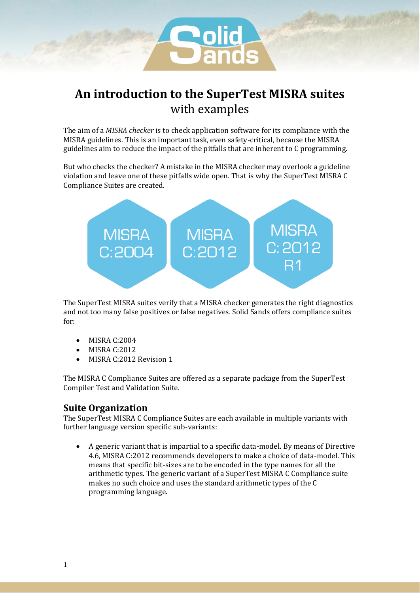

# **An introduction to the SuperTest MISRA suites** with examples

The aim of a *MISRA checker* is to check application software for its compliance with the MISRA guidelines. This is an important task, even safety-critical, because the MISRA guidelines aim to reduce the impact of the pitfalls that are inherent to C programming.

But who checks the checker? A mistake in the MISRA checker may overlook a guideline violation and leave one of these pitfalls wide open. That is why the SuperTest MISRA C Compliance Suites are created.



The SuperTest MISRA suites verify that a MISRA checker generates the right diagnostics and not too many false positives or false negatives. Solid Sands offers compliance suites for:

- MISRA C:2004
- MISRA C:2012
- MISRA C:2012 Revision 1

The MISRA C Compliance Suites are offered as a separate package from the SuperTest Compiler Test and Validation Suite.

## **Suite Organization**

The SuperTest MISRA C Compliance Suites are each available in multiple variants with further language version specific sub-variants:

• A generic variant that is impartial to a specific data-model. By means of Directive 4.6, MISRA C:2012 recommends developers to make a choice of data-model. This means that specific bit-sizes are to be encoded in the type names for all the arithmetic types. The generic variant of a SuperTest MISRA C Compliance suite makes no such choice and uses the standard arithmetic types of the C programming language.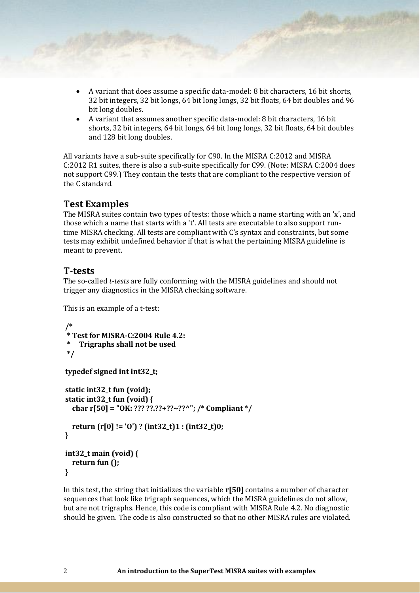- A variant that does assume a specific data-model: 8 bit characters, 16 bit shorts, 32 bit integers, 32 bit longs, 64 bit long longs, 32 bit floats, 64 bit doubles and 96 bit long doubles.
- A variant that assumes another specific data-model: 8 bit characters, 16 bit shorts, 32 bit integers, 64 bit longs, 64 bit long longs, 32 bit floats, 64 bit doubles and 128 bit long doubles.

All variants have a sub-suite specifically for C90. In the MISRA C:2012 and MISRA C:2012 R1 suites, there is also a sub-suite specifically for C99. (Note: MISRA C:2004 does not support C99.) They contain the tests that are compliant to the respective version of the C standard.

## **Test Examples**

The MISRA suites contain two types of tests: those which a name starting with an 'x', and those which a name that starts with a 't'. All tests are executable to also support runtime MISRA checking. All tests are compliant with C's syntax and constraints, but some tests may exhibit undefined behavior if that is what the pertaining MISRA guideline is meant to prevent.

#### **T-tests**

The so-called *t-tests* are fully conforming with the MISRA guidelines and should not trigger any diagnostics in the MISRA checking software.

This is an example of a t-test:

```
/*
 * Test for MISRA-C:2004 Rule 4.2:
     * Trigraphs shall not be used
 */
typedef signed int int32_t;
static int32_t fun (void);
static int32_t fun (void) {
   char r[50] = "OK: ??? ??.??+??~??^"; /* Compliant */
   return (r[0] != 'O') ? (int32_t)1 : (int32_t)0;
}
int32_t main (void) {
   return fun ();
```
**}**

In this test, the string that initializes the variable **r[50]** contains a number of character sequences that look like trigraph sequences, which the MISRA guidelines do not allow, but are not trigraphs. Hence, this code is compliant with MISRA Rule 4.2. No diagnostic should be given. The code is also constructed so that no other MISRA rules are violated.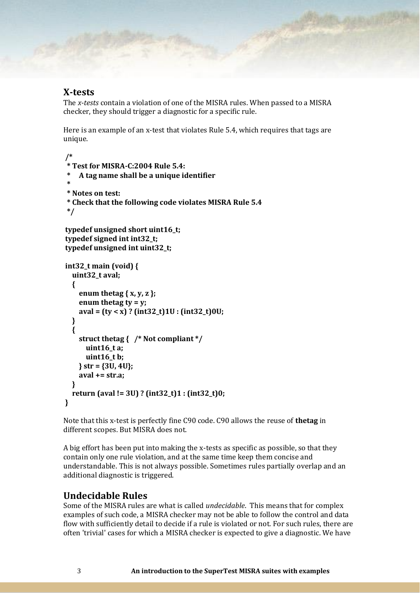#### **X-tests**

The *x-tests* contain a violation of one of the MISRA rules. When passed to a MISRA checker, they should trigger a diagnostic for a specific rule.

Here is an example of an x-test that violates Rule 5.4, which requires that tags are unique.

```
/* 
  * Test for MISRA-C:2004 Rule 5.4:
     * A tag name shall be a unique identifier
 * 
 * Notes on test:
 * Check that the following code violates MISRA Rule 5.4
 */ 
typedef unsigned short uint16_t;
typedef signed int int32_t;
typedef unsigned int uint32_t;
int32_t main (void) {
   uint32_t aval;
   { 
     enum thetag { x, y, z };
     enum thetag ty = y;
     aval = (ty < x) ? (int32_t)1U : (int32_t)0U;
   } 
   { 
     struct thetag { /* Not compliant */
       uint16_t a;
       uint16_t b;
     } str = {3U, 4U};
     aval += str.a;
   } 
   return (aval != 3U) ? (int32_t)1 : (int32_t)0;
}
```
Note that this x-test is perfectly fine C90 code. C90 allows the reuse of **thetag** in different scopes. But MISRA does not.

A big effort has been put into making the x-tests as specific as possible, so that they contain only one rule violation, and at the same time keep them concise and understandable. This is not always possible. Sometimes rules partially overlap and an additional diagnostic is triggered.

#### **Undecidable Rules**

Some of the MISRA rules are what is called *undecidable*. This means that for complex examples of such code, a MISRA checker may not be able to follow the control and data flow with sufficiently detail to decide if a rule is violated or not. For such rules, there are often 'trivial' cases for which a MISRA checker is expected to give a diagnostic. We have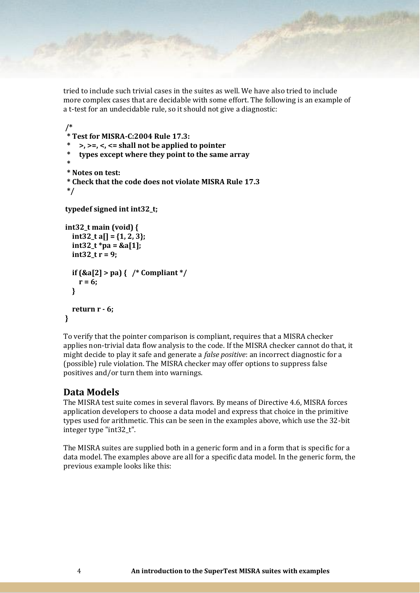tried to include such trivial cases in the suites as well. We have also tried to include more complex cases that are decidable with some effort. The following is an example of a t-test for an undecidable rule, so it should not give a diagnostic:

```
/* 
 * Test for MISRA-C:2004 Rule 17.3:
     * >, >=, <, <= shall not be applied to pointer
     * types except where they point to the same array
 * 
 * Notes on test:
 * Check that the code does not violate MISRA Rule 17.3
 */ 
typedef signed int int32_t;
int32_t main (void) {
   int32_t a[] = {1, 2, 3};
   int32_t *pa = &a[1];
   int32_t r = 9;
   if (&a[2] > pa) { /* Compliant */
     r = 6;
   } 
   return r - 6;
}
```
To verify that the pointer comparison is compliant, requires that a MISRA checker applies non-trivial data flow analysis to the code. If the MISRA checker cannot do that, it might decide to play it safe and generate a *false positive*: an incorrect diagnostic for a (possible) rule violation. The MISRA checker may offer options to suppress false positives and/or turn them into warnings.

# **Data Models**

The MISRA test suite comes in several flavors. By means of Directive 4.6, MISRA forces application developers to choose a data model and express that choice in the primitive types used for arithmetic. This can be seen in the examples above, which use the 32-bit integer type "int32\_t".

The MISRA suites are supplied both in a generic form and in a form that is specific for a data model. The examples above are all for a specific data model. In the generic form, the previous example looks like this: